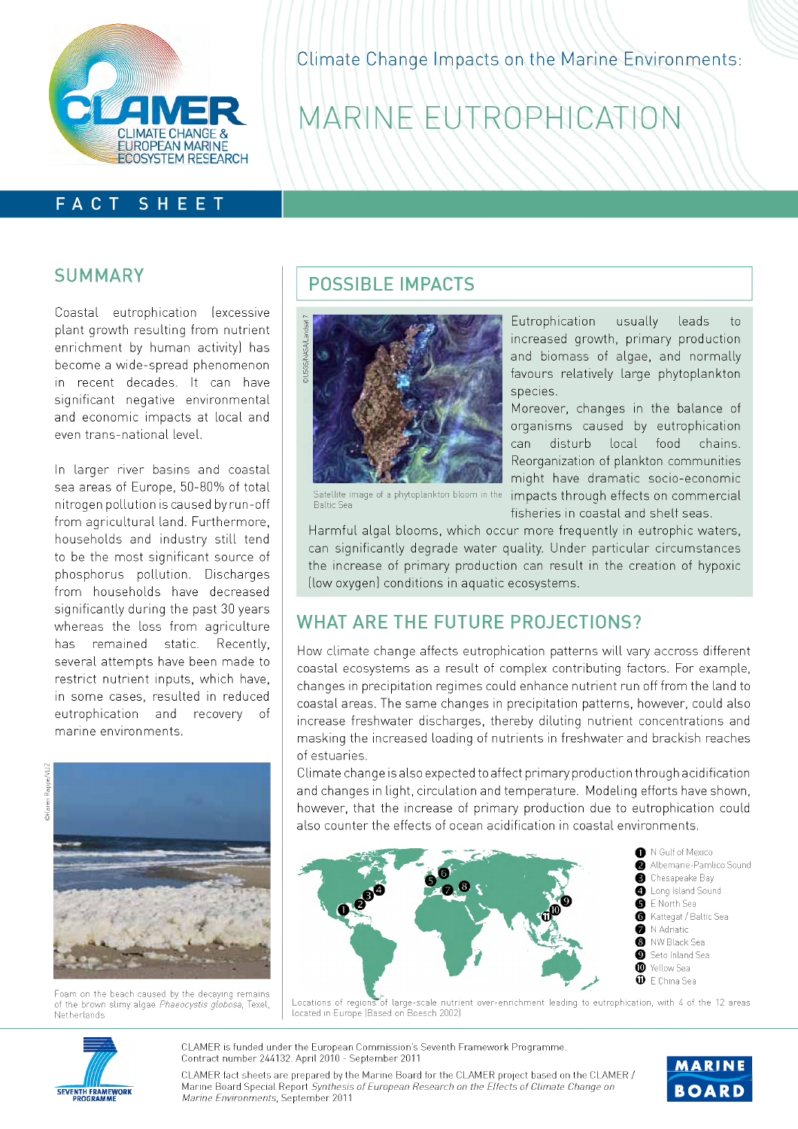

Climate Change Impacts on the Marine Environments:

# MARINE EUTROPHICATION

### **FACT SHEET**

#### **SUMMARY**

Coasta! eutrophication (excessive plant growth resulting from nutrient enrichment by human activity) has become a wide-spread phenomenon in recent decades. It can have significant negative environmental and economic impacts at local and even trans-national level.

In larger river basins and coastal sea areas of Europe, 50-80% of total nitrogen pollution is caused by run-off from agricultural land. Furthermore, households and industry still tend to be the most significant source of phosphorus pollution. Discharges from households have decreased significantly during the past 30 years whereas the loss from agriculture has remained static. Recently, several attempts have been made to restrict nutrient inputs, which have, in some cases, resulted in reduced eutrophication and recovery of marine environments.





Foam on the beach caused by the decaying remains of the brown slimy algae Phaeocystis globosa, Texel, **Netherlands** 

### **POSSIBLE IMPACTS**



Eutrophication usually leads to increased growth, primary production and biomass of algae, and normally favours relatively large phytoplankton species.

Moreover, changes in the balance of organisms caused by eutrophication can disturb local food chains. Reorganization of plankton communities might have dramatic socio-economic Satellite image of a phytoplankton bloom in the impacts through effects on commercial

Baltic Sea

fisheries in coastal and shelf seas.

Harmful algal blooms, which occur more frequently in eutrophic waters, can significantly degrade water quality. Under particular circumstances the increase of primary production can result in the creation of hypoxic (low oxygen) conditions in aguatic ecosystems.

### **WHAT ARE THE FUTURE PROJECTIONS?**

How climate change affects eutrophication patterns will vary accross different coastal ecosystems as a result of complex contributing factors. For example, changes in precipitation regimes could enhance nutrient run off from the land to coastal areas. The same changes in precipitation patterns, however, could also increase freshwater discharges, thereby diluting nutrient concentrations and masking the increased loading of nutrients in freshwater and brackish reaches of estuaries.

Climate change is also expected to affect primary production through acidification and changes in light, circulation and temperature. Modeling efforts have shown, however, that the increase of primary production due to eutrophication could also counter the effects of ocean acidification in coastal environments.



- <sup>0</sup> N Gulf of Mexico Albemarie-Pamlico Sound **8** Chesapeake Bay **O** Long Island Sound 0 E North Sea @ Kattegat / Baltic Sea
- **O** N Adriatic
- **8** NW Black Sea<br>**0** Seto Inland Se Seto Inland Sea
- © Yellow Sea
- © E China Sea



SEVENTH FRAMEWORK PROGRAMME

**CLAMER is funded under the European Commission's Seventh Framework Programme. Contract num ber 244132. April 2010 - Septem ber 2011**

**MARINE BOARD**

**CLAMER fact sheets are prepared by the Marine Board for the CLAMER project based on the CLAMER / Marine Board Special Report** *Synthesis o f European Research on the Effects o f Climate Change on Marine Environments*, September 2011